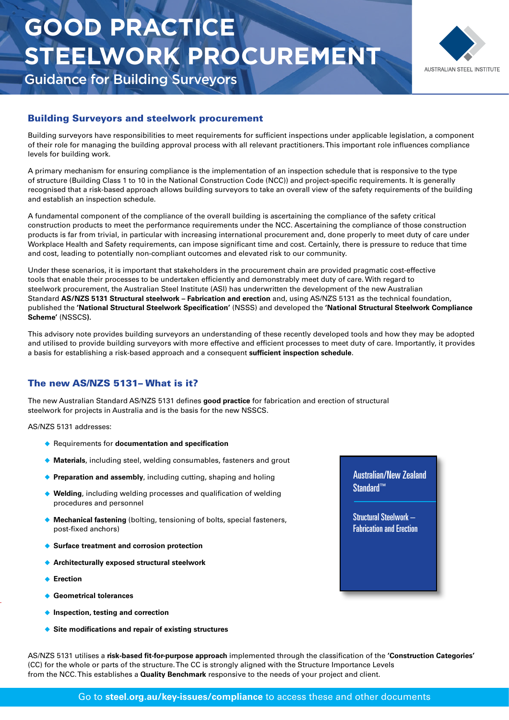# **GOOD PRACTICE STEELWORK PROCUREMENT**



Guidance for Building Surveyors

## Building Surveyors and steelwork procurement

Building surveyors have responsibilities to meet requirements for sufficient inspections under applicable legislation, a component of their role for managing the building approval process with all relevant practitioners. This important role influences compliance levels for building work.

A primary mechanism for ensuring compliance is the implementation of an inspection schedule that is responsive to the type of structure (Building Class 1 to 10 in the National Construction Code (NCC)) and project-specific requirements. It is generally recognised that a risk-based approach allows building surveyors to take an overall view of the safety requirements of the building and establish an inspection schedule.

A fundamental component of the compliance of the overall building is ascertaining the compliance of the safety critical construction products to meet the performance requirements under the NCC. Ascertaining the compliance of those construction products is far from trivial, in particular with increasing international procurement and, done properly to meet duty of care under Workplace Health and Safety requirements, can impose significant time and cost. Certainly, there is pressure to reduce that time and cost, leading to potentially non-compliant outcomes and elevated risk to our community.

Under these scenarios, it is important that stakeholders in the procurement chain are provided pragmatic cost-effective tools that enable their processes to be undertaken efficiently and demonstrably meet duty of care. With regard to steelwork procurement, the Australian Steel Institute (ASI) has underwritten the development of the new Australian Standard **AS/NZS 5131 Structural steelwork – Fabrication and erection** and, using AS/NZS 5131 as the technical foundation, published the **'National Structural Steelwork Specification'** (NSSS) and developed the **'National Structural Steelwork Compliance Scheme'** (NSSCS**).**

This advisory note provides building surveyors an understanding of these recently developed tools and how they may be adopted and utilised to provide building surveyors with more effective and efficient processes to meet duty of care. Importantly, it provides a basis for establishing a risk-based approach and a consequent **sufficient inspection schedule**.

# The new AS/NZS 5131– What is it?

The new Australian Standard AS/NZS 5131 defines **good practice** for fabrication and erection of structural steelwork for projects in Australia and is the basis for the new NSSCS.

AS/NZS 5131 addresses:

- Requirements for **documentation and specification**
- **Materials**, including steel, welding consumables, fasteners and grout
- ◆ **Preparation and assembly**, including cutting, shaping and holing
- **Welding**, including welding processes and qualification of welding procedures and personnel
- **Mechanical fastening** (bolting, tensioning of bolts, special fasteners, post-fixed anchors)
- **Surface treatment and corrosion protection**
- **Architecturally exposed structural steelwork**
- **Erection**
- **Geometrical tolerances**
- ◆ Inspection, testing and correction
- **Site modifications and repair of existing structures**

Australian/New Zealand Standard™

Structural Steelwork – Fabrication and Erection

AS/NZS 5131 utilises a **risk-based fit-for-purpose approach** implemented through the classification of the **'Construction Categories'**  (CC) for the whole or parts of the structure. The CC is strongly aligned with the Structure Importance Levels from the NCC. This establishes a **Quality Benchmark** responsive to the needs of your project and client.

# Go to **steel.org.au/key-issues/compliance** to access these and other documents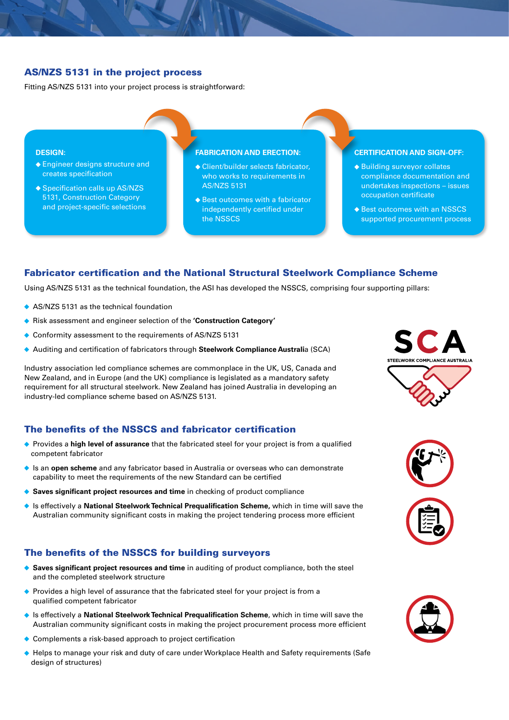# AS/NZS 5131 in the project process

Fitting AS/NZS 5131 into your project process is straightforward:

#### **DESIGN:**

- Engineer designs structure and creates specification
- ◆ Specification calls up AS/NZS 5131, Construction Category and project-specific selections

#### **FABRICATION AND ERECTION:**

- Client/builder selects fabricator, who works to requirements in AS/NZS 5131
- ◆ Best outcomes with a fabricator independently certified under the NSSCS

#### **CERTIFICATION AND SIGN-OFF:**

- Building surveyor collates compliance documentation and undertakes inspections – issues occupation certificate
- ◆ Best outcomes with an NSSCS supported procurement process

# Fabricator certification and the National Structural Steelwork Compliance Scheme

Using AS/NZS 5131 as the technical foundation, the ASI has developed the NSSCS, comprising four supporting pillars:

- AS/NZS 5131 as the technical foundation
- Risk assessment and engineer selection of the **'Construction Category'**
- Conformity assessment to the requirements of AS/NZS 5131
- Auditing and certification of fabricators through **Steelwork Compliance Australi**a (SCA)

Industry association led compliance schemes are commonplace in the UK, US, Canada and New Zealand, and in Europe (and the UK) compliance is legislated as a mandatory safety requirement for all structural steelwork. New Zealand has joined Australia in developing an industry-led compliance scheme based on AS/NZS 5131.

## The benefits of the NSSCS and fabricator certification

- Provides a **high level of assurance** that the fabricated steel for your project is from a qualified competent fabricator
- Is an **open scheme** and any fabricator based in Australia or overseas who can demonstrate capability to meet the requirements of the new Standard can be certified
- ◆ Saves significant project resources and time in checking of product compliance
- Is effectively a **National Steelwork Technical Prequalification Scheme,** which in time will save the Australian community significant costs in making the project tendering process more efficient

## The benefits of the NSSCS for building surveyors

- **Saves significant project resources and time** in auditing of product compliance, both the steel and the completed steelwork structure
- **Provides a high level of assurance that the fabricated steel for your project is from a** qualified competent fabricator
- Is effectively a **National Steelwork Technical Prequalification Scheme**, which in time will save the  $\blacklozenge$ Australian community significant costs in making the project procurement process more efficient
- ◆ Complements a risk-based approach to project certification
- Helps to manage your risk and duty of care under Workplace Health and Safety requirements (Safe design of structures)





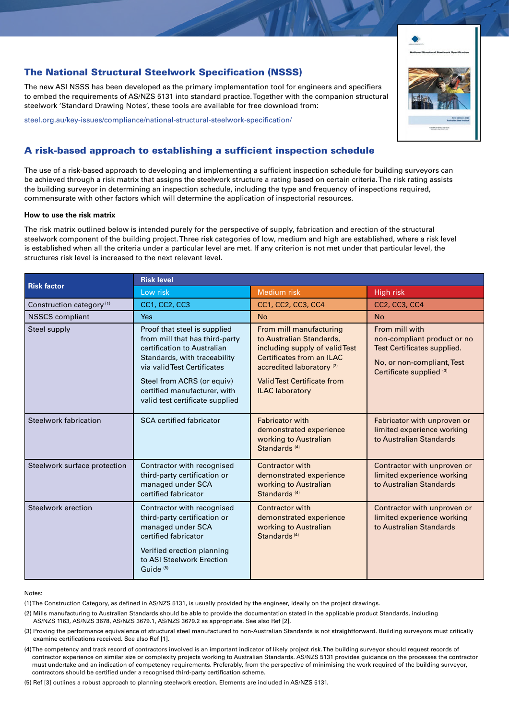# The National Structural Steelwork Specification (NSSS)

The new ASI NSSS has been developed as the primary implementation tool for engineers and specifiers to embed the requirements of AS/NZS 5131 into standard practice. Together with the companion structural steelwork 'Standard Drawing Notes', these tools are available for free download from:

steel.org.au/key-issues/compliance/national-structural-steelwork-specification/

# A risk-based approach to establishing a sufficient inspection schedule

The use of a risk-based approach to developing and implementing a sufficient inspection schedule for building surveyors can be achieved through a risk matrix that assigns the steelwork structure a rating based on certain criteria. The risk rating assists the building surveyor in determining an inspection schedule, including the type and frequency of inspections required, commensurate with other factors which will determine the application of inspectorial resources.

#### **How to use the risk matrix**

The risk matrix outlined below is intended purely for the perspective of supply, fabrication and erection of the structural steelwork component of the building project. Three risk categories of low, medium and high are established, where a risk level is established when all the criteria under a particular level are met. If any criterion is not met under that particular level, the structures risk level is increased to the next relevant level.

| <b>Risk factor</b>                   | <b>Risk level</b>                                                                                                                                                                                                                                             |                                                                                                                                                                                                                     |                                                                                                                                                   |
|--------------------------------------|---------------------------------------------------------------------------------------------------------------------------------------------------------------------------------------------------------------------------------------------------------------|---------------------------------------------------------------------------------------------------------------------------------------------------------------------------------------------------------------------|---------------------------------------------------------------------------------------------------------------------------------------------------|
|                                      | Low risk                                                                                                                                                                                                                                                      | <b>Medium</b> risk                                                                                                                                                                                                  | High risk                                                                                                                                         |
| Construction category <sup>(1)</sup> | <b>CC1, CC2, CC3</b>                                                                                                                                                                                                                                          | CC1, CC2, CC3, CC4                                                                                                                                                                                                  | CC2, CC3, CC4                                                                                                                                     |
| <b>NSSCS</b> compliant               | <b>Yes</b>                                                                                                                                                                                                                                                    | <b>No</b>                                                                                                                                                                                                           | <b>No</b>                                                                                                                                         |
| Steel supply                         | Proof that steel is supplied<br>from mill that has third-party<br>certification to Australian<br>Standards, with traceability<br>via valid Test Certificates<br>Steel from ACRS (or equiv)<br>certified manufacturer, with<br>valid test certificate supplied | From mill manufacturing<br>to Australian Standards,<br>including supply of valid Test<br>Certificates from an ILAC<br>accredited laboratory <sup>(2)</sup><br>Valid Test Certificate from<br><b>ILAC laboratory</b> | From mill with<br>non-compliant product or no<br>Test Certificates supplied.<br>No, or non-compliant, Test<br>Certificate supplied <sup>(3)</sup> |
| <b>Steelwork fabrication</b>         | <b>SCA certified fabricator</b>                                                                                                                                                                                                                               | <b>Fabricator with</b><br>demonstrated experience<br>working to Australian<br>Standards <sup>(4)</sup>                                                                                                              | Fabricator with unproven or<br>limited experience working<br>to Australian Standards                                                              |
| Steelwork surface protection         | Contractor with recognised<br>third-party certification or<br>managed under SCA<br>certified fabricator                                                                                                                                                       | <b>Contractor with</b><br>demonstrated experience<br>working to Australian<br>Standards <sup>(4)</sup>                                                                                                              | Contractor with unproven or<br>limited experience working<br>to Australian Standards                                                              |
| Steelwork erection                   | Contractor with recognised<br>third-party certification or<br>managed under SCA<br>certified fabricator<br>Verified erection planning<br>to ASI Steelwork Erection<br>Guide <sup>(5)</sup>                                                                    | <b>Contractor with</b><br>demonstrated experience<br>working to Australian<br>Standards <sup>(4)</sup>                                                                                                              | Contractor with unproven or<br>limited experience working<br>to Australian Standards                                                              |

#### Notes:

(1) The Construction Category, as defined in AS/NZS 5131, is usually provided by the engineer, ideally on the project drawings.

- (2) Mills manufacturing to Australian Standards should be able to provide the documentation stated in the applicable product Standards, including AS/NZS 1163, AS/NZS 3678, AS/NZS 3679.1, AS/NZS 3679.2 as appropriate. See also Ref [2].
- (3) Proving the performance equivalence of structural steel manufactured to non-Australian Standards is not straightforward. Building surveyors must critically examine certifications received. See also Ref [1].
- (4) The competency and track record of contractors involved is an important indicator of likely project risk. The building surveyor should request records of contractor experience on similar size or complexity projects working to Australian Standards. AS/NZS 5131 provides guidance on the processes the contractor must undertake and an indication of competency requirements. Preferably, from the perspective of minimising the work required of the building surveyor, contractors should be certified under a recognised third-party certification scheme.